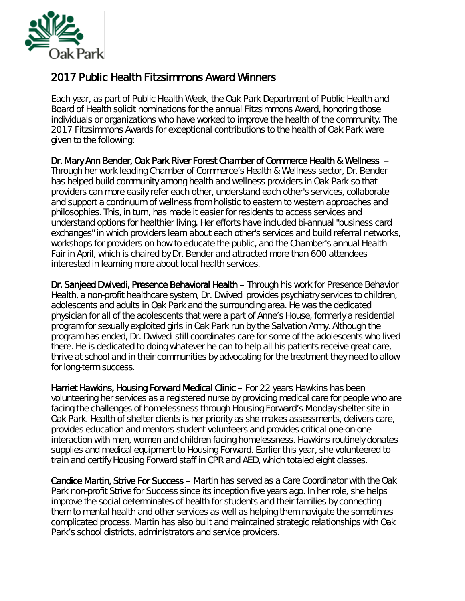

## 2017 Public Health Fitzsimmons Award Winners

Each year, as part of Public Health Week, the Oak Park Department of Public Health and Board of Health solicit nominations for the annual Fitzsimmons Award, honoring those individuals or organizations who have worked to improve the health of the community. The 2017 Fitzsimmons Awards for exceptional contributions to the health of Oak Park were given to the following:

Dr. Mary Ann Bender, Oak Park River Forest Chamber of Commerce Health & Wellness -- Through her work leading Chamber of Commerce's Health & Wellness sector, Dr. Bender has helped build community among health and wellness providers in Oak Park so that providers can more easily refer each other, understand each other's services, collaborate and support a continuum of wellness from holistic to eastern to western approaches and philosophies. This, in turn, has made it easier for residents to access services and understand options for healthier living. Her efforts have included bi-annual "business card exchanges" in which providers learn about each other's services and build referral networks, workshops for providers on how to educate the public, and the Chamber's annual Health Fair in April, which is chaired by Dr. Bender and attracted more than 600 attendees interested in learning more about local health services.

Dr. Sanjeed Dwivedi, Presence Behavioral Health – Through his work for Presence Behavior Health, a non-profit healthcare system, Dr. Dwivedi provides psychiatry services to children, adolescents and adults in Oak Park and the surrounding area. He was the dedicated physician for all of the adolescents that were a part of Anne's House, formerly a residential program for sexually exploited girls in Oak Park run by the Salvation Army. Although the program has ended, Dr. Dwivedi still coordinates care for some of the adolescents who lived there. He is dedicated to doing whatever he can to help all his patients receive great care, thrive at school and in their communities by advocating for the treatment they need to allow for long-term success.

Harriet Hawkins, Housing Forward Medical Clinic - For 22 years Hawkins has been volunteering her services as a registered nurse by providing medical care for people who are facing the challenges of homelessness through Housing Forward's Monday shelter site in Oak Park. Health of shelter clients is her priority as she makes assessments, delivers care, provides education and mentors student volunteers and provides critical one-on-one interaction with men, women and children facing homelessness. Hawkins routinely donates supplies and medical equipment to Housing Forward. Earlier this year, she volunteered to train and certify Housing Forward staff in CPR and AED, which totaled eight classes.

Candice Martin, Strive For Success – Martin has served as a Care Coordinator with the Oak Park non-profit Strive for Success since its inception five years ago. In her role, she helps improve the social determinates of health for students and their families by connecting them to mental health and other services as well as helping them navigate the sometimes complicated process. Martin has also built and maintained strategic relationships with Oak Park's school districts, administrators and service providers.